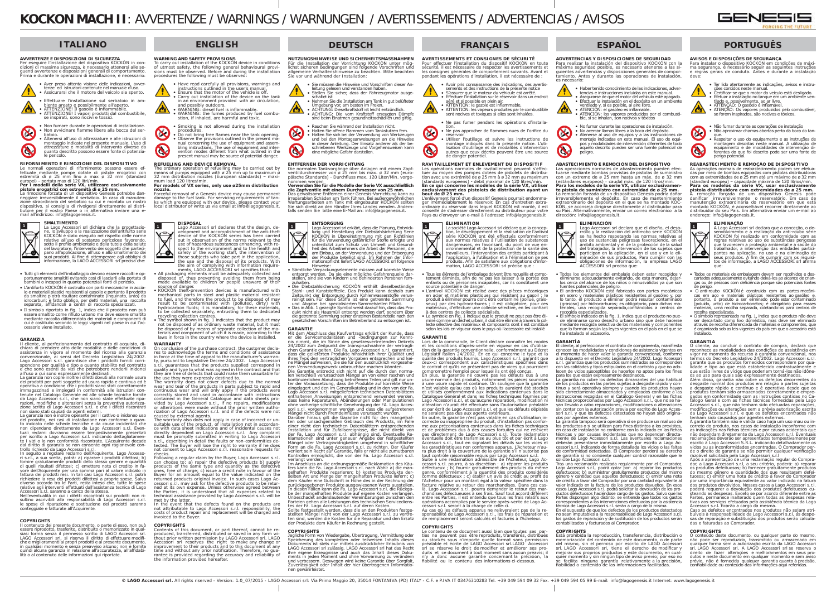# **KOCKON MACH II**: AVVERTENZE / WARNINGS / WARNUNGEN / AVERTISSEMENTS / ADVERTENCIAS / AVISOS

 $\overline{C}$ Per eseguire l'installazione del dispositivo KOCKÒN in con-dizioni di massima sicurezza, è necessario attenersi alle seguenti avvertenze e disposizioni generali di comportamento. Prima e durante le operazioni di installazione, è necessario:



# **ITALIANO**

## **AVVERTENZE E DISPOSIZIONI DI SICUREZZA**







• Non avvicinare fiamme libere alla bocca del serbatoio. • Attenersi all'uso di attrezzature e alle istruzioni di montaggio indicate nel presente manuale. L'uso di attrezzature e modalità di intervento diverse da quanto descritto possono essere fonte di potenzia-

Non fumare durante le operazioni di installazione



Le normali operazioni di rifornimento possono essere ef-<br>fettuate mediante pompe dotate di pistole erogatrici con<br>estremità di ø 25 mm fino a max ø 32 mm (standard<br>europei) - portata max di 120 litri/min.<br>Per i modelli del

# **pistole erogatrici con estremità di ø 25 mm.**

La rimozione forzata di un dispositivo Genesis potrebbe dan-<br>neggiare irreversibilmente il serbatoio. In caso di manuten-<br>zione straordinaria del serbatoio su cui è montato un nostro dispositivo, si consiglia di rivolgersi direttamente al distri-<br>butore per il vostro Paese o in alternativa inviare una e-<br>mail all'indirizzo: info@lagogenesis.it.

## **SMALTIMENTO**

La garanzia non copre inoltre i difetti dovuti alla normale usura<br>dei prodotti per parti soggette ad usura rapida e continua ed è<br>operativa a condizione che i prodotti siano stati correttamente<br>immagazzinati e impiegati da Lago Accessori s.r.l., che non siano state effettuate riparazioni, modifiche o alterazioni senza la preventiva autorizza-

zione scritta di Lago Accessori s.r.l. e che i difetti riscontrati<br>non siano stati causati da agenti esterni.<br>La garanzia non è inoltre operante per il cattivo o inidoneo uso<br>del prodotto, nel casi di installazione non con non dipendano direttamente da Lago Accessori s.r.l. Eventuali reclami dovranno essere tempestivamente presentati<br>per iscritto a Lago Accessori s.r.l. indicando dettagliatamen-<br>te i vizi o le non conformità riscontrate. L'Acquirente decade<br>dal diritto di garanzia se non consente

 La Lago Accessori srl dichiara che la progettazione, lo sviluppo e la realizzazione dell'antifurto serie<br>KOCKON è stato eseguito nel rispetto delle norme<br>relative all'uso di sostanze pericolose favorendo,<br>sotto il profilo ambientale e della tutela della salute<br>del lavora pano all'applicazione, all'uso e allo smaltimento dei suoi prodotti. Al fine di ottemperare agli obblighi di informazione, la LAGO ACCESSORI srl precisa che:

Nell'eventualità in cui i difetti riscontrati sui prodotti non ri-Nell'eventualità in cui i difetti riscontrati sui prodotti non ri-<br>sultino ascrivibili alla responsabilità di Lago Accessori s.r.l.<br>le spese di riparazione e sostituzione dei prodotti saranno conteggiate e fatturate all'Acquirente.

- Tutti gli elementi dell'imballaggio devono essere raccolti e opportunamente smaltiti evitando così di lasciarli alla portata di bambini o incapaci in quanto potenziali fonti di pericolo.
- L'antifurto KOCKÒN è costruito con parti meccaniche in accia-<br>lo e materiali plastici resistenti al gasolio e pertanto il prodotto<br>da smaltire p otrà risultare contaminato (inquinato, unto) da<br>idrocarburi; è fatto obblig idrocarburi; è fatto obbligo, per detti materiali, una raccolta separata, affidandoli a centri di raccolta specializzati.
- Il simbolo riportato in fig. 1, indica che il prodotto non può essere smaltito come rifiuto urbano ma deve essere smaltito mediante raccolta differenziata dei materiali e componenti di cui è costituito secondo le leggi vigenti nel paese in cui l'ac-cessorio viene installato.

## **GARANZIA**

• Smoking is not allowed during the installation R

 Il cliente, al perfezionamento del contratto di acquisto, dichiara di prendere atto delle modalità e delle condizioni di assistenza in vigore al momento del ricorso alla garanzia<br>convenzionale, ai sensi del Decreto Legislativo 24/2002.<br>Lago Accessori s.r.l. garantisce che i prodotti forniti corri-<br>spondono per qualità e tipo a quanto stabili e che sono esenti da vizi che potrebbero renderli inidonei all'uso a cui sono espressamente destinati.

- those subjects who take part in the application,<br>the use and the disposal of its products. With<br>the aim of complying with information require-<br>ments, LAGO ACCESSORI srl specifies that:<br>• All packaging elements must be adeq made available to children or people unaware of their
- source of danger. KOCKÒN theft-prevention devices is manufactured with mechanical parts in steel and plastic material resistant<br>to fuel, and therefore the product to be disposed of may<br>result to be contaminated with (polluted, dirty) with<br>hydrocarbon fluids; it is mandatory, for these materia to be collected separately, entrusting them to dedicated

recycling collection centres.<br>• The symbol shown in fig. 1 indicates that the product may<br>not be disposed of as ordinary waste material, but it must<br>be disposed of by means of separate collection of the ma-<br>terials and com

## **WARRANTY**

or conclusion of the nurchase contract the customer decla On conclusion of the purchase contract, the customer declares to acknowledge the terms and conditions of assistance<br>in force at the time of appeal to the manufacturer's warran-<br>ty, pursuant to Legislative Decree 24/2002. L they are free of defects that could make them unsuitable for

the use they were expressly destined to.<br>The warranty does not cover defects due to the normal<br>wear and tear of the products in parts subject to rapid and<br>continuous wear and will only apply if the products were<br>correctly contained in the General Catalogue and data sheets pro-vided by Lago Accessori s.r.l., if no repairs, modifications

fornire gratuitamente prodotti dello stesso genere e quantità di quelli risultati difettosi; c) emettere nota di credito in favore dell'Acquirente per una somma pari al valore indicato in<br>fattura dei prodotti resi. In tali casi Lago Accessori s.r.l. potrà<br>richiedere la resa dei prodotti difettosi a proprie spese. Salvo<br>diverso accordo tra le Part relative agli interventi effettuati dall'assistenza tecnica di Lago Accessori s.r.l. saranno a carico della stessa.

or alterations were made without the prior written autho-<br>rization of Lago Accessori s.r.l. and if the defects were not<br>caused by external agents.<br>The warranty also does not apply in case of incorrect or un-<br>suitable use o ce with data sheet indications and of incidental causes not directly dependent on Lago Accessori s.r.l. Any complaint must be promptly submitted in writing to Lago Accessori<br>s.r.l., describing in detail the faults or non-conformities de-<br>tected. The Buyer will lose the right to warranty if he does<br>not consent to Lago Accessori s.r.l. reas checks.

 Following a regular claim by the Buyer, Lago Accessori s.r.l. can choose to: a) repair the defective products b) supply<br>groducts of the same type and quantity as the defective<br>ones, free of charge; c) issue a credit note in favour of the<br>Buyer for an amount equal to the value indicat the Parties, it is understood that all expenses related to technical assistance provided by Lago Accessori s.r.l. will be met by the latter.<br>In the event that the defects found on the products are

#### **COPYRIGHTS**

Cornwolled Cornwort or nart thereof cannot he re-Contents of this document, or part thereof, cannot be re-<br>produced, transferred, distributed or saved in any form wi-<br>thout prior written permission by LAGO Accessori srl. LAGO<br>Accessori srl reserves the right to make any rantee is provided regarding the accuracy and reliability of the information provided hereafter.

 Il contenuto del presente documento, o parte di esso, non può essere riprodotto, trasferito, distribuito o memorizzato in qualsiasi forma senza il permesso scritto di LAGO Accessori srl.<br>LAGO Accessori srl, si riserva il diritto di effettuare modifi-<br>che e miglioramenti ai propri prodotti e al presente documento,<br>in qualsiasi momento e senza prea quindi alcuna garanzia in relazione all'accuratezza, all'affidabi-lità o al contenuto delle informazioni qui riportate.

**1**

 $\bullet$ 

## **ENGLISH**

# **WARNING AND SAFETY PROVISIONS**

 To carry out installation of the KOCKÒN device in conditions of utmost safety, the following general behavioural provi-sions must be observed. Before and during the installation procedures the following must be observed:

> R • Halten Sie offene Flammen vom Tankstutzen fern. • Halten Sie sich bei der Verwendung von Werkzeugen und bei den Montageanweisungen an die Hinweise in dieser Anleitung. Der Einsatz anderer als der be-schriebenen Werkzeuge und Vorgehensweisen kann eine mögliche Gefahr darstellen.

> **die Zapfventile mit einem Durchmesser von 25 mm.** Das gewaltsame Entfernen einer Genesis-Vorrichtung kann zu<br>irreparablen Schäden am Tank führen. Bei außergewöhnlichen<br>Wartungsarbeiten am Tank mit eingebauter KOCKON sollten<br>Sie sich direkt an den Händler Ihres Landes wend

- Have read carefully all provisions, warnings and instructions outlined in the user's manual. • Ensure that the motor of the vehicle is off. Carry out installation of the device on the tank
- in an environment provided with air circulation, and possibly outdoors. • WARNING: diesel fuel is inflammable.

• WARNING: the fumes produced by fuel combu-stion, if inhaled, are harmful and toxic.

procedures. • Do not bring free flames near the tank opening.

• Observe the provisions outlined in the present main<br>nual concerning the use of equipment and assem-<br>hiling instructions. The use of equipment and inter-<br>vention modes different from what outlined in the<br>present manual ma C

#### **REFUELING AND DEVICE REMOVAL**

zuhalten.<br>Die Diebstahlsicherung KOCKÒN enthält dieselbeständige Stahl- und Kunststoffteile. Das Produkt kann deshalb zum Zeitpunkt der Entsorgung durch Kohlenwasserstoffe verun-<br>reinigt sein. Für diese Stoffe ist eine getrennte Sammlung<br>und Abgabe bei spezialisierten Sammelstellen Pflicht.<br>• Das in Abb. 1 gezeigte Symbol weist darauf hin, da die getrennte Sammlung seiner einzelnen Bestandteile nach den gesetzlichen Vorschriften im Betreiberland zu entsorgen ist.

 The ordinary operation of refuelling may be carried out by means of pumps equipped with ø 25 mm up to maximum ø 32 mm distribution nozzles (European standards) – maxi-mum load 120 litres/min. **For models of VX series, only use ø25mm distribution** 

#### **nozzle.**

 Forceful removal of a Genesis device may cause permanent damage to the fuel tank. For servicing requirements of tan-ks which are equipped with our device, please contact your local distributor or write us via email at info@lagogenesis.it.

> **DISPOSAL**Lago Accessori srl declares that the design, de-velopment and accomplishment of the anti-theft device of the KOCKÒN series has been carried

out in observation of the norms relevant to the use of hazardous substances enhancing, with re-spect to the environment and to the health and ∠∙ safety of the working staff, the intervention of

> Im Anschluss an die ordnungsgemäße Reklamation des Käufers kann die Fa. Lago Accessori s.r.l. nach Wahl: a) die man-<br>gelhaften Produkte reparieren; b) kostenlos Produkte der-<br>selben Art und Menge der mangelhaften Produkte liefern; c)<br>dem Käufer eine Gutschrift in Höhe des in

Unbeschadet anderslautender Vereinbarungen zwischen den<br>Parteien gehen alle Leistungen des technischen Servicediens-<br>tes der Fa. Lago Accessori s.r.l. auf deren Kosten.<br>Sollte festgestellt werden, dass die an den Produkten der Produkte dem Käufer in Rechnung gestellt.

Jegliche Form von Wiedergabe, Übertragung, Vermittlung oder<br>Speicherung des kompletten oder teilweisen Inhalts dieses<br>Dokuments ist stets nur mittels ausdrücklicher Erlaubnis von<br>LAGO Accessori srl zulässig. LAGO Accessori ihre eigene Erzeugnisse und auch das Inhalt dieses Dokuments in jeden Moment und ohne Vorwarnung zu verändern und verbessern. Deswegen wird keine Garantie über Sorgfalt, Zuverlässigkeit oder Inhalt der hier übertragenen Informationen gewährleistet.

sements et des instructions de la présente notice<br>• S'assurer que le moteur du véhicule est arrêté.<br>• Effectuer l'installation sur le réservoir dans un endroit aéré et si possible en plein air. • ATTENTION: le gazole est inflammable.

 **ÉLIMINATION**La société Lago Accessori srl déclare que la conception, le développement et la réalisation de l'antivol<br>série KOCKON ont été effectués conformément<br>aux normes relatives à l'utilisation de substances<br>dangereuses, en favori travailleurs, l'intervention des entités participant à l'application, à l'utilisation et à l'élimination de ses produits. Afin de satisfaire aux obligations d'inforproduits: Affir de satisfaire dux obligation<br>mation, LAGO ACCESSORI srl précise qu

 Lors de la commande, le Client déclare connaître les modes et les conditions d'après-vente en vigueur en cas d'utilisa-<br>tion de la garantie conventionnelle, conformément au Décret tion de la garantie conventionnelle, conformément au Décret<br>Législatif italien 24/2002. En ce qui concerne le type et la<br>qualité des produits fournis, Lago Accessori s.r.l. garantit que<br>ceux-ci correspondent aux caractéris

En plus, la garantie ne couvre pas les défauts dus à une usure normale des produits, notamment les pièces soumises<br>à une usure rapide et continue. On souligne que la garantie<br>n'est valable qu'au cas où les produits auraient été stockés<br>et utilisés conformément aux indications co et par écrit de Lago Accessori s.r.l. et que les défauts dépistés par sern as Eags *Reseasen* sum or que R

En outre, la garantie n'est pas valable en cas d'utilisation inen outre, ia garantie n'est pas valable en cas d'utilisation in-<br>correcte ou inappropriée du produit, d'installation pas confor-<br>me aux préconisations contenues dans les fiches techniques<br>et de problèmes dus à des causes f pas directement de Lago Accessori s.r.l. Toute réclamation<br>éventuelle doit être transmise au plus tôt et par écrit à Lago<br>Accessori s.r.l., tout en signalant les détails sur les vices et<br>les caractéristiques non conformes

In the event that the defects found on the products are not attributable to Lago Accessori s.r.l. responsibility, the costs of product repair and replacement will be charged and invoiced to the Buyer.

## **COPYRIGHTS**

cessori s.r.l. pourra, à sa discrétion : a) réparer les produits<br>défectueux ; b) fournir gratuitement des produits du même genre, conformément à la quantité des produits considérés<br>comme défectueux ; c) établir un avis de crédit au profit de<br>l'Acheteur pour un montant égal à la valeur spécifiée dans la<br>facture relative au retour des marchandis chandises défectueuses à ses frais. Sauf tout accord différent entre les Parties, il est entendu que tous les frais relatifs aux

opérations accomplies par le service après-vente de Lago Ac-<br>cessori s.r.l. seront à la charge de celle-ci.<br>Au cas où les défauts apparus ne relèveraient pas de la re-<br>sponsabilité de Lago Accessori s.r.l., les frais de ré de remplacement seront calculés et facturés à l'Acheteur.

# **DEUTSCH**

Le contenu de ce document aussi bien que toutes ses par-<br>ties ne peuvent pas être reproduits, transférés, distribués<br>ou stockés sous n'importe quelle format sans permission<br>préalable et écrite de LAGO Accessori srl.LAGO Ac <sup>n</sup>'y a donc aucune garantie concernant la précision, la fiabilité ou le contenu des informations ci-dessous.

**NUTZUNGSHINWEISE UND SICHERHEITSMASSNAHMEN** Für die Installation der Vorrichtung KOCKÒN unter mög-lichst sicheren Bedingungen sind folgende Vorschriften und allgemeine Verhaltenshinweise zu beachten. Bitte beachten Sie vor und während der Installation:

- Sie müssen die Hinweise und Vorschriften dieser Anleitung gelesen und verstanden haben. • Stellen Sie sicher, dass der Fahrzeugmotor ausge-
- schaltet ist
- Nehmen Sie die Installation am Tank in gut belüfteter

Umgebung vor, am besten im Freien.<br>• ACHTUNG: Dieselkraftstoff ist leicht entzündlich.<br>• ACHTUNG: Die vom Kraftstoff erzeugten Dämpfe<br>• sind beim Einatmen gesundheitsschädlich und giftig.

• Rauchen Sie während der Installation nicht.

#### **ENTFERNEN DER VORRICHTUNG**

Q

 Die normalen Tankvorgänge über Anlagen mit einem Zapf-ventildurchmesser von ø 25 mm bis max. ø 32 mm (europäische Standards) - Durchfluss max. 120 Liter/Min. vorgenommen werden **Verwenden Sie für die Modelle der Serie VX ausschließlich** 

> fuentes potenciales de peligro. • El antirrobo KOCKÒN está fabricado con partes mecánicas en acero y materiales plásticos resistentes al gasóleo y, por<br>lo tanto, el producto a eliminar podrá resultar contaminado<br>(grasoso) por hidrocarburos; es obligatorio, para dichos ma-<br>teriales, una recogida separada,confián

> recogida especializados. • El símbolo indicado en la fig. 1, indica que el producto no puede eliminarse como desecho urbano sino que debe hacerse mediante recogida selectiva de los materiales y componentes<br>que lo forman según las leyes vigentes en el país en el que se<br>ha instalado el accesorio.

 El cliente, al perfeccionar el contrato de compraventa, manifiesta conocer las modalidades y condiciones de asistencia vigentes en el momento de hacer valer la garantía convencional, conforme a lo dispuesto en el Decreto Legislativo 24/2002. Lago Accessori<br>s.r.l. garantiza que los productos suministrados se corresponden<br>con las calidades y tipos estipulados en el contrato y que no ado-<br>lecen de vicios susceptib

#### **ENTSORGUNG**

**ENTSORGONG**<br>Lago Accessori srl erklärt, dass die Planung, Entwick- **1 1 1 1**Lago Accessori srl erklärt, dass die Planung, Entwick-<br>lung und Herstellung der Diebstahlsicherung Serie<br>KOCKON in Übereinstimmung mit den Richtlinien<br>für die Verwendung gefährlicher Stoffe erfolgte und<br>unterstützt zum Sch ∠∢ am Einbau, an der Verwendung und der Entsorgung der Produkte beteiligt sind. Im Rahmen der Informationspflicht liefert LAGO ACCESSORI srl folgende

> para los que están expresamente destinados. La garantía no cubre los defectos dimanantes del uso habitual de los productos en las partes sujetas a desgaste rápido y continuo y será operativa siempre y cuando los productos hayan<br>sido correctamente almacenados y empleados conforme a las<br>instrucciones recogidas en el Catálogo General y en las fichas<br>técnicas proporcionadas por Lago Accessor sin contar con la autorización previa por escrito de Lago Accessori s.r.l. y que los defectos detectados no hayan sido origina-<br>dos por agentes externos

> dos por agentes externos.<br>La garantía tampoco será operativa si se produce un mal uso de los productos o si se utilizan para fines distintos a los previstos, en caso de instalación no conforme con lo indicado en las fichas técnicas y por causas incidentales que no dependan directa-<br>mente de Lago Accessori s.r.l. Las eventuales reclamaciones mente de Lago Accessori s.r.l. Las eventuales reclamaciones<br>deberán presentarse inmediatamente por escrito a Lago Ac-<br>cessori s.r.l. indicando de forma detallada los vicios o las faltas<br>de conformidad detectadas. El Compra

Hinweise: • Sämtliche Verpackungselemente müssen auf korrekte Weise entsorgt werden. Da sie eine mögliche Gefahrenquelle dar-stellen, sind sie von Kindern und behinderten Personen fern-

Tras una reclamación realizada regularmente por el Comprador, Lago Accessori s.r.l., podrá optar por: a) reparar los productos<br>defectuosos; b) suministrar gratuitamente productos del mismo<br>género y cantidad que aquellos defectuosos; c) emitir una nota<br>de crédito a favor del Comprador casos Lago Accessori s.r.l. podrá solicitar la devolución de los productos defectuosos haciéndose cargo de los gastos. Salvo que las<br>Partes dispongan algo distinto, se entiende que todos los gastos<br>correspondientes a las intervenciones efectuadas por la asistencia<br>técnica de Lago Accessori

#### **GARANTIE**

 Mit dem Abschluss des Kaufvertrags erklärt der Kunde, dass er die Servicemodalitäten und -bedingungen zur Kennt-nis nimmt, die im Sinne des gesetzesvertretenden Dekrets 24/2002 zum Zeitpunkt der Inanspruchnahme der vertraglichen Garantie gelten. Die Fa. Lago Accessori s.r.l. garantiert,

dass die gelieferten Produkte hinsichtlich ihrer Qualität und<br>ihres Typs den vertraglichen versprechen entsprechund keinen Mängel aufweisen, die sie für den ausdrücklich vorgesehenen<br>ne Mängel aufweisen, die sie für den au sori s.r.l. vorgenommen werden und dass die aufgetretenen Mängel nicht durch Fremdeinflüsse verursacht wurden.<br>Darüber hinaus gilt die Garantie nicht für den mangelhaf

Darüber hinaus gilt die Garantie nicht für den mangelhaf-<br>ten oder unsachgemäßen Gebrauch des Produkts, im Falle<br>einer nicht den technischen Datenblättern entsprechenden<br>Installation und für Zufallsereignisse, die nicht di

**AVISOS E DISPOSIÇÕES DE SEGURANÇA**<br>Para instalar o dispositivo KOCKÒN em condições de máxi-<br>ma segurança, é necessário seguir as seguintes instruções e regras gerais de conduta. Antes e durante a instalação deve:

# **pistola distribuidora com extremidades de ø 25 mm.** A remoção forçada de um dispositivo Genesis pode danificar irreversivelmente o reservatório. Em caso de manutenção extraordinária do reservatório em que está<br>montado KOCKÒN, é aconselhável recorrer diretamente ao<br>distribuidor do seu País. Em alternativa enviar um e-mail ao<br>endereço: info@lagogenesis.it.



A Lago Accessori srl declara que a conceção, o de-<br>senvolvimento e a realização do anti-roubo série<br>KOCKON foi realizado em conformidade com as<br>regras relativas ao uso de substâncias perigosas<br>que favorecem a proteção ambi pantes na aplicação, no uso e na eliminação de seus produtos. A fim de cumprir com os requisi-tos de informação, a LAGO ACCESSORI srl afirma que:

tenham sido causados por agentes externos.<br>A garantia também não é válida caso haja um uso mau ou incorreto do produto, nos casos de instalação inconforme com<br>as indicações nas fichas técnicas e por causas acidentais que não dependam diretamente da Lago Accessori s.r.l. Eventuais<br>reclamações deverão ser apresentados tempestivamente por<br>escrito à Lago Accessori S.R.L. indicando detalhadamente os<br>vícios ou as inconformidades encontradas. O C razoável solicitada pela Lago Accessori s.r.l Após a apresentação de uma reclamação regular do Compra-

#### **COPYRIGHTS**

dor, a Lago Accessori s.r.l, a seu critério, poderá: a) repara os produtos defeituosos; b) fornecer gratuitamente produtos<br>do mesmo gênero e quantidade dos que resultaram defei-<br>tuosos; c) emitir uma nota de crédito a favor do Comprador<br>por uma importância equivalente ao valor indicad poderá requerer a devolução dos produtos defeituosos custeando as despesas. Exceto se por acordo diferente entre as<br>Partes, permanece inalterado quem todas as despesas rela-Partes, permanece inalterado quem todas as despesas rela- tivas aos serviços efetuados pela assistência técnica da Lago

Accessori s.r.l. ficarão a cargo da mesma.<br>Caso os defeitos encontrados nos produtos não sejam atri-<br>buíveis à responsabilidade da Lago Accessori s.r.l. as despe-<br>sas de reparação e substituição dos produtos serão calculadas e faturadas ao Comprador.

**FRANÇAIS**

# **AVERTISSEMENTS ET CONSIGNES DE SÉCURITÉ**

O conteúdo deste documento, ou qualquer parte do mesmo,<br>não pode ser reproduzido, transmitido ou armazenado em<br>qualquer forma sem a autorização escrita da LAGO Accessori<br>srl. LAGO Accessori srl, A LAGO Accessori srl se res direito de fazer alterações e melhoramentos em seus produtos e neste documento em qualquer momento e sem aviso prévio, não é fornecida qualquer garantia quanto à precisão, confiabilidade ou conteúdo das informações aqui referidas.

 Pour effectuer l'installation du dispositif KOCKÒN en toute sécurité, il est nécessaire de respecter les avertissements et les consignes générales de comportement suivants. Avant et pendant les opérations d'installation, il est nécessaire de : • Avoir pris connaissance des indications, des avertis-

• ATTENTION: les vapeurs produites par le combustible sont nocives et toxiques si elles sont inhalées.

• Ne pas fumer pendant les opérations d'installa-

tion. • Ne pas approcher de flammes nues de l'orifice du réservoir. • Utiliser l'outillage et suivre les instructions de montage indiqués dans la présente notice. L'uti-lisation d'outillage et de modalités d'intervention autres que ceux décrits peuvent être une source de danger potentiel.

**RAVITAILLEMENT ET ENLÈVEMENT DU DISPOSITIF**Les opérations normales de ravitaillement peuvent s'effec-<br>tuer au moyen des pompes dotées de pistolets de distribution avec une extrémité de ø 25 mm à ø 32 mm au maximum<br>(standards européens) - débit maximal de 120 litres/min.<br>**En ce qui concerne les modèles de la série VX, utiliser exclusivement des pistolets de distribution ayant un bout de Ø 25 mm.** 

**v zo mm.**<br>nent forcé d'un dispositif Genesis pourrait endomma. L'enlèvement forcé d'un dispositif Genesis pourrait endomma-<br>ger irrémédiablement le réservoir. En cas d'entretien extra-<br>ordinaire du réservoir dans lequel KOCKON est monté, il est<br>conseillé de s'adresser directement au d



- Tous les éléments de l'emballage doivent être recueillis et correc- tement éliminés, afin de ne pas les laisser à la portée des enfants ou de personnes incapables, car ils constituent une<br>source potentielle de danger.<br>L'antivol KOCKON est réalisé avec des pièces mécaniques
- source potentielle de danger.<br>• L'antivol KOCKÒN est réalisé avec des pièces mécaniques<br>en acier et matières plastiques qui résistent au gasoil ; le<br>produit à éliminer pourra donc être contaminé (pollué, graisseux) par des hydrocarbures ; il est obligatoire, pour ces matériaux, d'effectuer une collecte sélective, en les confiant
- à des centres de collecte spécialisés. Le symbole en Fig. 1 indique que le produit ne peut pas être éli- miné comme un déchet urbain, il doit être éliminé à travers la collecte sélective des matériaux et composants dont il est constitué selon les lois en vigueur dans le pays où l'accessoire est installé

#### **GARANTIE**

R

B

#### **COPYRIGHTS**

## **ESPAÑOL**

**ADVERTENCIAS Y DISPOSICIONES DE SEGURIDAD** Para realizar la instalación del dispositivo KOCKÒN con la máxima seguridad posible, es necesario atenerse a las siguientes advertencias y disposiciones generales de comportamiento. Antes y durante las operaciones de instalación, es necesario:

R

Q

• Haber tenido conocimiento de las indicaciones, adver-tencias e instrucciones incluidas en este manual.• Asegurarse de que el motor del vehículo esté apagado. • Efectuar la instalación en el depósito en un ambiente

ventilado y, si es posible, al aire libre.<br>• ATENCIÓN: el gasóleo es inflamable.<br>• ATENCIÓN: los vapores producidos por el combusti-<br>• ATENCIÓN: los vapores producidos por el combusti-<br>ble, si se inhalan, son nocivos y tóx

No fumar durante las operaciones de instalación.<br>No acercar llamas libres a la boca del depósito.

• Atenerse al uso de equipos y a las instrucciones de montaje indicadas en este manual. El uso de equipos y modalidades de intervención diferentes de todo aquello descrito pueden ser una fuente potencial de

peligro.

#### **ABASTECIMIENTO E REMOCIÓN DEL DISPOSITIVO**

Las operaciones normales de abastecimiento pueden efectuarse mediante bombas provistas de pistolas de suministro<br>con un extremo de ø 25 mm hasta un máx. de ø 32 mm<br>con un extremo de ø 25 mm hasta un máx. de ø 32 mm<br>(estánd

**te pistola de suministro con extremidad de ø 25 mm.**<br>La remoción forzada de un dispositivo Genesis podría dañar<br>irreversiblemente el depósito. En caso de mantenimiento extraordinario del depósito en el que se ha montado KOC-<br>KON, se aconseja dirigirse directamente al distribuidor para<br>su País. Alternativamente, enviar un correo electrónico a la<br>dirección: info@lagogenesis.it.

**ELIMINACIÓN**



 Lago Accessori srl declara que el diseño, el desa- rrollo y la realización del antirrobo serie KOCKÒN se ha hecho respetando las normas relativas al<br>uso de sustancias peligrosas favoreciendo, en el<br>ámbito ambiental y el de la protección de la salud<br>del trabajador, la intervención de los sujetos que participan en la aplicación, en el uso y en la eli-<br>minación de sus productos. Para cumplir con las<br>obligaciones de información, la empresa LAGO ACCESSORI srl precisa que:

• Todos los elementos del embalaje deben estar recogidos y eliminarse adecuadamente evitando, de esta manera, dejar- los cerca del alcance de los niños o minusválidos ya que son

**GARANTÍA**

<u>o</u>

solicite Lago Accessori s.r.l.

los gastos de reparación y de sustitución de los productos serán contabilizados y facturados al Comprador.

Está prohibida la reproducción, transferencia, distribución o<br>memorización del contenido de este documento, o de parte<br>del mismo, sin el permiso por escrito de LAGO Accessori<br>srl. LAGO Accessori srl, tiene el derecho de mo mejorar sus proprios productos y este documento, en cual-<br>quier momento y sin ningún tipo de aviso previo; por eso no<br>se facilita ninguna garantía relativamente a la precisión,<br>fiabilidad o contenido de las informacione

**COPYRIGHTS**

# **PORTUGUÊS**

- Ter lido atentamente as indicações, avisos e instru
	- ções contidos neste manual. Certificar-se que o motor do veículo está desligado. • Efetuar a instalação no tanque em um ambiente ven-
- 



tilado e, possivelmente, ao ar livre. • ATTENÇÃO: O gasóeio é inflamável. • ATENÇÃO: Os vapores produzidos pelo combustível, se forem inspirados, são nocivos e tóxicos.



Q

• Não fumar durante as operações de instalação • Não aproximar chamas abertas perto da boca do tan-



## **REABASTECIMENTO E REMOÇÃO DE DISPOSITIVO**

As operações normais de reabastecimento podem ser efetua-<br>das por meio de bombas equipadas com pistolas distribuídoras<br>com as extremidades de ø 25 mm até um máximo de ø 32 mm<br>(standard europeu) – capacidade máxima de 120 l

#### **ELIMINAÇÃO**

- Todos os materiais de embalagem devem ser recolhidos e descartados adequadamente evitando deixá-los ao alcance de crianças ou de pessoas com deficiência porque são potenciais fontes
- de perigo. O anti-roubo KOCKÒN é construído com as partes mecânicas em aço e materiais plásticos resistentes ao gasóleo e, portanto, o produto a ser eliminado pode estar contaminado (poluído, unto) de hidrocarbonetos; é obrigatório para essses materiais, uma recolha separada, coletando-os para centros de
- recolha especializada. O símbolo representado na fig. 1, indica que o produto não deve ser descartado como lixo doméstico, mas deve ser eliminado através de recolha diferenciada de materiais e componentes, que é organizada sob as leis vigentes do país em que o acessório está instalado.

#### **GARANTIA**

o cliente ao concluir o contrato de compra declara que O cliente, ao concluir o contrato de compra, declara que reconhece as modalidades das condições de assistência em vigor no momento do recurso à garantia convencional, nos<br>termos do Decreto Legislativo 24/2002. Lago Accessori s.r.l.<br>garante que os produtos fornecidos correspondem por qua-<br>lidade e tipo ao que está estabelecido contratu

os ao uso para quais são expressamente destinados. Além disso, garantia não cobre os defeitos decorrentes do desgaste normal dos produtos em relação a partes sujeitas<br>a desgaste rápido e contínuo e é operativa desde que os<br>produtos tenham sido armazenados corretamente e empre-<br>gados em conformidade com as instruções contidas no C Accessori s.r.l., que não tenham sido efetuadas reparações, modificações ou alterações sem a prévia autorização escrita da Lago Accessori s.r.l. e que os defeitos encontrados não

#### **COPYRIGHTS**

**1**